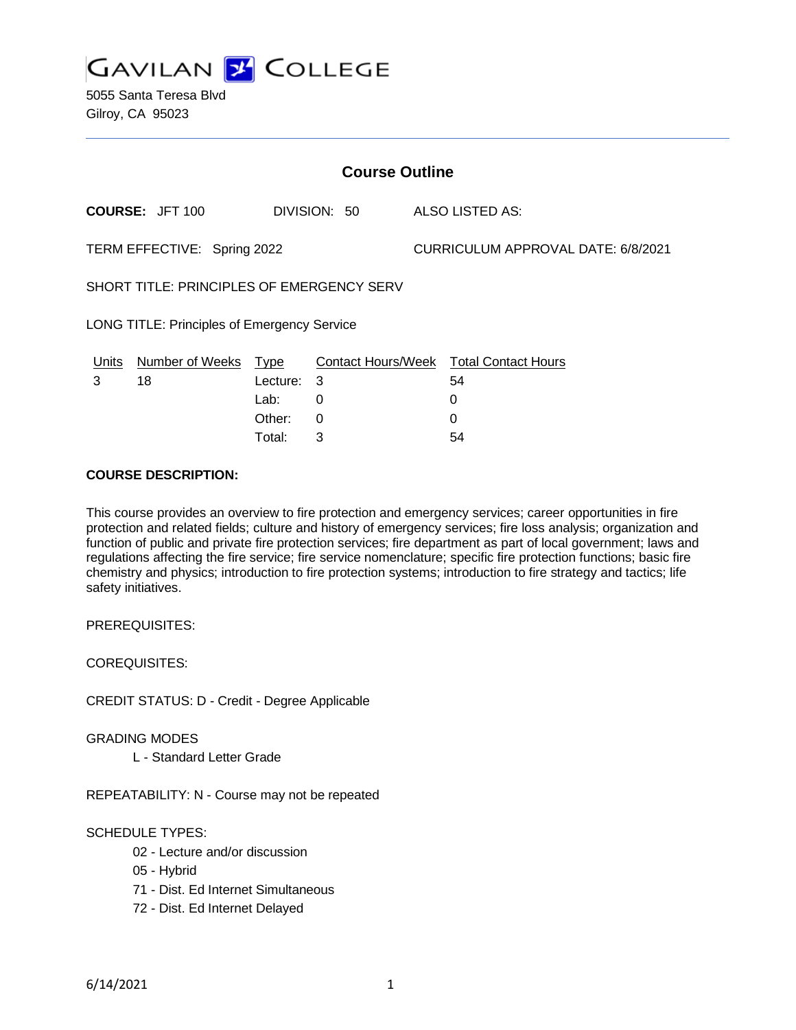

5055 Santa Teresa Blvd Gilroy, CA 95023

| <b>Course Outline</b>                       |                        |             |              |                                           |                                        |
|---------------------------------------------|------------------------|-------------|--------------|-------------------------------------------|----------------------------------------|
|                                             | <b>COURSE: JFT 100</b> |             | DIVISION: 50 |                                           | ALSO LISTED AS:                        |
| TERM EFFECTIVE: Spring 2022                 |                        |             |              | <b>CURRICULUM APPROVAL DATE: 6/8/2021</b> |                                        |
| SHORT TITLE: PRINCIPLES OF EMERGENCY SERV   |                        |             |              |                                           |                                        |
| LONG TITLE: Principles of Emergency Service |                        |             |              |                                           |                                        |
| <u>Units</u>                                | <b>Number of Weeks</b> | <u>Type</u> |              |                                           | Contact Hours/Week Total Contact Hours |
| 3                                           | 18                     | Lecture:    | 3            |                                           | 54                                     |
|                                             |                        | Lab:        | 0            |                                           | 0                                      |
|                                             |                        | Other:      | $\Omega$     |                                           | 0                                      |
|                                             |                        | Total:      | 3            |                                           | 54                                     |

#### **COURSE DESCRIPTION:**

This course provides an overview to fire protection and emergency services; career opportunities in fire protection and related fields; culture and history of emergency services; fire loss analysis; organization and function of public and private fire protection services; fire department as part of local government; laws and regulations affecting the fire service; fire service nomenclature; specific fire protection functions; basic fire chemistry and physics; introduction to fire protection systems; introduction to fire strategy and tactics; life safety initiatives.

PREREQUISITES:

COREQUISITES:

CREDIT STATUS: D - Credit - Degree Applicable

#### GRADING MODES

L - Standard Letter Grade

REPEATABILITY: N - Course may not be repeated

## SCHEDULE TYPES:

- 02 Lecture and/or discussion
- 05 Hybrid
- 71 Dist. Ed Internet Simultaneous
- 72 Dist. Ed Internet Delayed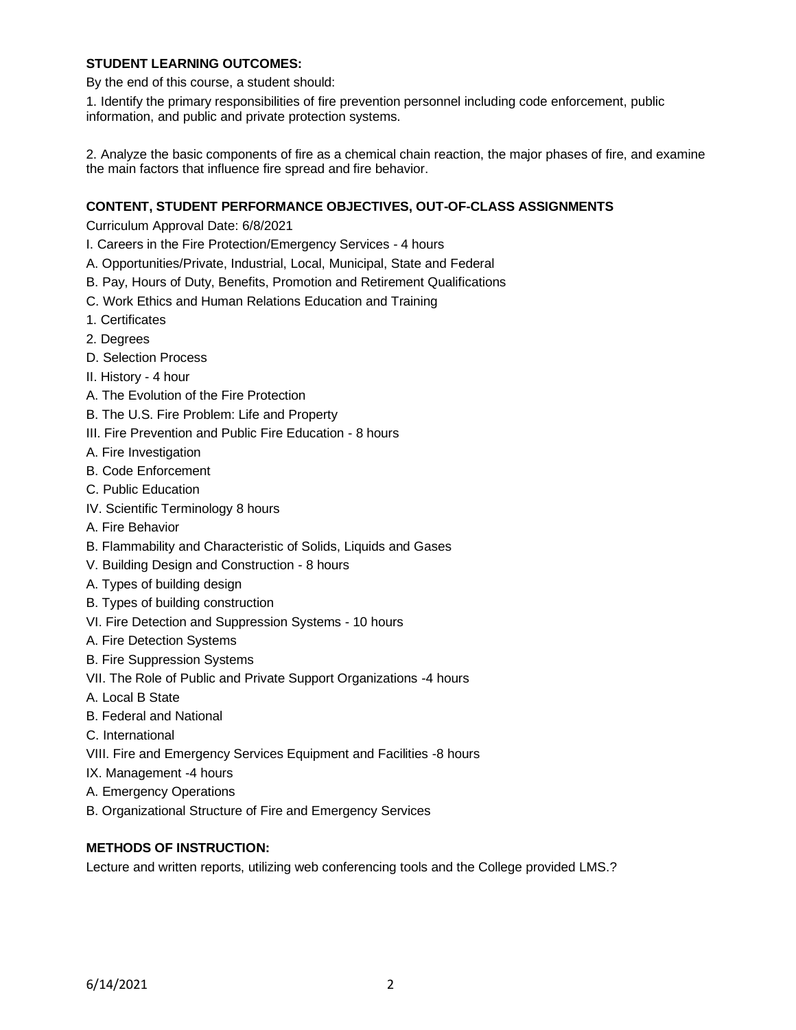## **STUDENT LEARNING OUTCOMES:**

By the end of this course, a student should:

1. Identify the primary responsibilities of fire prevention personnel including code enforcement, public information, and public and private protection systems.

2. Analyze the basic components of fire as a chemical chain reaction, the major phases of fire, and examine the main factors that influence fire spread and fire behavior.

## **CONTENT, STUDENT PERFORMANCE OBJECTIVES, OUT-OF-CLASS ASSIGNMENTS**

Curriculum Approval Date: 6/8/2021

- I. Careers in the Fire Protection/Emergency Services 4 hours
- A. Opportunities/Private, Industrial, Local, Municipal, State and Federal
- B. Pay, Hours of Duty, Benefits, Promotion and Retirement Qualifications
- C. Work Ethics and Human Relations Education and Training
- 1. Certificates
- 2. Degrees
- D. Selection Process
- II. History 4 hour
- A. The Evolution of the Fire Protection
- B. The U.S. Fire Problem: Life and Property
- III. Fire Prevention and Public Fire Education 8 hours
- A. Fire Investigation
- B. Code Enforcement
- C. Public Education
- IV. Scientific Terminology 8 hours
- A. Fire Behavior
- B. Flammability and Characteristic of Solids, Liquids and Gases
- V. Building Design and Construction 8 hours
- A. Types of building design
- B. Types of building construction
- VI. Fire Detection and Suppression Systems 10 hours
- A. Fire Detection Systems
- B. Fire Suppression Systems
- VII. The Role of Public and Private Support Organizations -4 hours
- A. Local B State
- B. Federal and National
- C. International
- VIII. Fire and Emergency Services Equipment and Facilities -8 hours
- IX. Management -4 hours
- A. Emergency Operations
- B. Organizational Structure of Fire and Emergency Services

## **METHODS OF INSTRUCTION:**

Lecture and written reports, utilizing web conferencing tools and the College provided LMS.?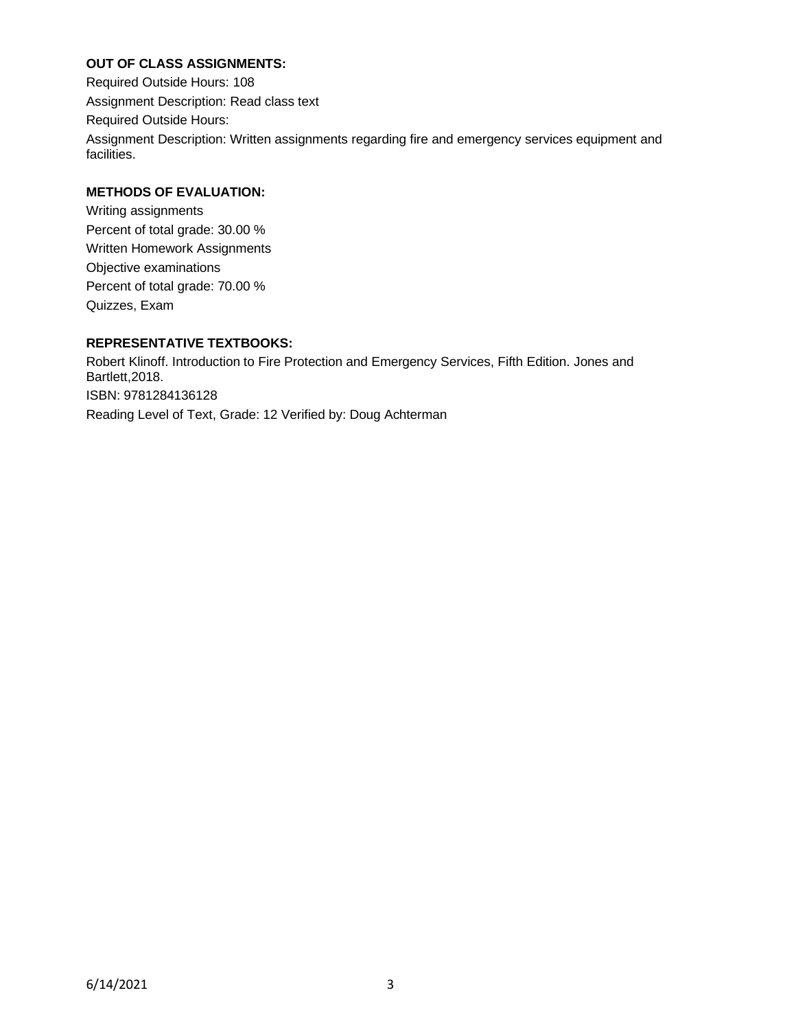# **OUT OF CLASS ASSIGNMENTS:**

Required Outside Hours: 108 Assignment Description: Read class text Required Outside Hours: Assignment Description: Written assignments regarding fire and emergency services equipment and facilities.

# **METHODS OF EVALUATION:**

Writing assignments Percent of total grade: 30.00 % Written Homework Assignments Objective examinations Percent of total grade: 70.00 % Quizzes, Exam

# **REPRESENTATIVE TEXTBOOKS:**

Robert Klinoff. Introduction to Fire Protection and Emergency Services, Fifth Edition. Jones and Bartlett,2018. ISBN: 9781284136128 Reading Level of Text, Grade: 12 Verified by: Doug Achterman